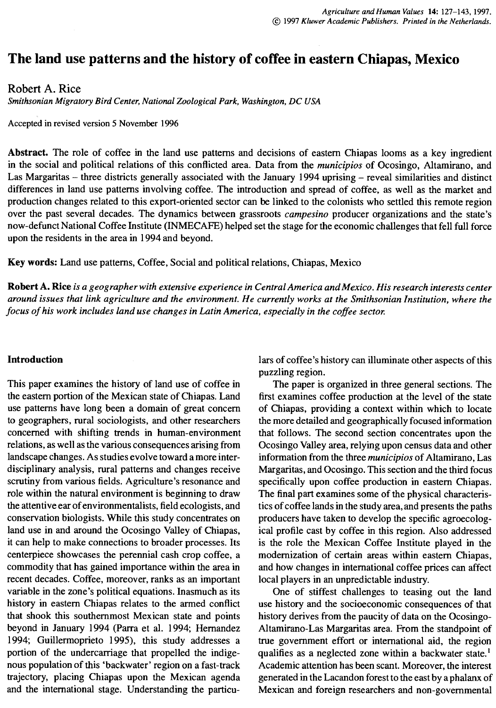# The land use patterns and the history of coffee in eastern Chiapas, Mexico

# Robert A. Rice

*Smithsonian Migratory Bird Center, National Zoological Park, Washington, DC USA*

Accepted in revised version 5 November 1996

Abstract. The role of coffee in the land use patterns and decisions of eastern Chiapas looms as a key ingredient in the social and political relations of this conflicted area. Data from the *municipios* of Ocosingo, Altamirano, and Las Margaritas - three districts generally associated with the January 1994 uprising - reveal similarities and distinct differences in land use patterns involving coffee. The introduction and spread of coffee, as well as the market and production changes related to this export-oriented sector can be linked to the colonists who settled this remote region over the past several decades. The dynamics between grassroots *campesino* producer organizations and the state's now-defunct National Coffee Institute (INMECAFE) helped set the stage for the economic challenges that fell full force upon the residents in the area in 1994 and beyond.

Key words: Land use patterns, Coffee, Social and political relations, Chiapas, Mexico

Robert A. Rice *is a geographerwith extensive experience in CentralAmerica andMexico. His research interests center* around issues that link agriculture and the environment. He currently works at the Smithsonian Institution, where the *focus ofhis work includes land use changes in Latin America, especially in the coffee sector.*

### Introduction

This paper examines the history of land use of coffee in the eastern portion of the Mexican state of Chiapas. Land use patterns have long been a domain of great concern to geographers, rural sociologists, and other researchers concerned with shifting trends in human-environment relations, as well as the various consequences arising from landscape changes. As studies evolve toward a more interdisciplinary analysis, rural patterns and changes receive scrutiny from various fields. Agriculture's resonance and role within the natural environment is beginning to draw the attentive ear of environmentalists, field ecologists, and conservation biologists. While this study concentrates on land use in and around the Ocosingo Valley of Chiapas, it can help to make connections to broader processes. Its centerpiece showcases the perennial cash crop coffee, a commodity that has gained importance within the area in recent decades. Coffee, moreover, ranks as an important variable in the zone's political equations. Inasmuch as its history in eastern Chiapas relates to the armed conflict that shook this southernmost Mexican state and points beyond in January 1994 (Parra et al. 1994; Hernandez 1994; Guillermoprieto 1995), this study addresses a portion of the undercarriage that propelled the indigenous population of this 'backwater' region on a fast-track trajectory, placing Chiapas upon the Mexican agenda and the international stage. Understanding the particulars of coffee's history can illuminate other aspects of this puzzling region.

The paper is organized in three general sections. The first examines coffee production at the level of the state of Chiapas, providing a context within which to locate the more detailed and geographically focused information that follows. The second section concentrates upon the Ocosingo Valley area, relying upon census data and other information from the three *municipios* of Altamirano, Las Margaritas, and Ocosingo. This section and the third focus specifically upon coffee production in eastern Chiapas. The final part examines some of the physical characteristics of coffee lands in the study area, and presents the paths producers have taken to develop the specific agroecological profile cast by coffee in this region. Also addressed is the role the Mexican Coffee Institute played in the modernization of certain areas within eastern Chiapas, and how changes in international coffee prices can affect local players in an unpredictable industry.

One of stiffest challenges to teasing out the land use history and the socioeconomic consequences of that history derives from the paucity of data on the Ocosingo-Altamirano-Las Margaritas area. From the standpoint of true government effort or international aid, the region qualifies as a neglected zone within a backwater state.<sup>1</sup> Academic attention has been scant. Moreover, the interest generated in the Lacandon forest to the east by a phalanx of Mexican and foreign researchers and non-governmental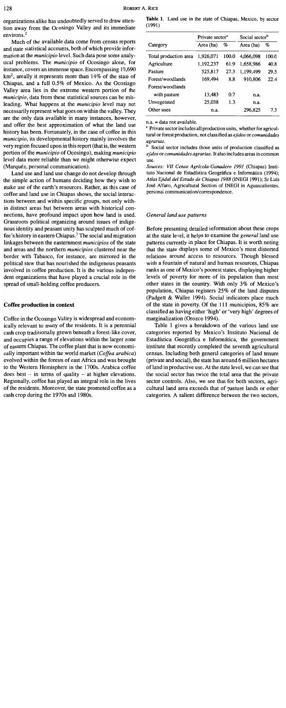organizations alike has undoubtedly served to draw attention away from the Ocosingo Valley and its immediate environs. $<sup>2</sup>$ </sup>

Much of the available data come from census reports and state statistical accounts, both of which provide information at the *municipio* level. Such data pose some analytical problems. The municipio of Ocosingo alone, for instance, covers an immense space. Encompassing 10,690  $km<sup>2</sup>$ , areally it represents more than 14% of the state of Chiapas, and a full 0.5% of Mexico. As the Ocosingo Valley area lies in the extreme western portion of the municipio, data from these statistical sources can be misleading. What happens at the *municipio* level may not necessarily represent what goes on within the valley. They are the only data available in many instances, however, and offer the best approximation of what the land use history has been. Fortunately, in the case of coffee in this municipio, its developmental history mainly involves the very region focused upon in this report (that is, the western portion of the municipio of Ocosingo), making municipio level data more reliable than we might otherwise expect (Marquéz, personal communication).

Land use and land use change do not develop through the simple action of humans deciding how they wish to make use of the earth's resources. Rather, as this case of coffee and land use in Chiapas shows, the social interactions between and within specific groups, not only within distinct areas but between areas with historical connections, have profound impact upon how land is used. Grassroots political organizing around issues of indigenous identity and peasant unity has sculpted much of coffee's history in eastern Chiapas.<sup>3</sup> The social and migration linkages between the easternmost municipios of the state and areas and the northern municipios clustered near the border with Tabasco, for instance, are mirrored in the political stew that has nourished the indigenous peasants involved in coffee production. It is the various independent organizations that have played a crucial role in the spread of small-holding coffee producers.

#### Coffee production in context

Coffee in the Ocosingo Valley is widespread and economically relevant to many of the residents. It is a perennial cash crop traditionally grown beneath a forest-like cover, and occupies a range of elevations within the larger zone of eastern Chiapas. The coffee plant that is now economically important within the world market (Coffea arabica) evolved within the forests of east Africa and was brought to the Western Hemisphere in the 1700s. Arabica coffee does best – in terms of quality – at higher elevations. Regionally, coffee has played an integral role in the lives of the residents. Moreover, the state promoted coffee as a cash crop during the 1970s and 1980s.

**Table 1.** Land use in the state of Chiapas, Mexico, by sector  $(1991)$ 

|                       | Private sector <sup>a</sup> |       | Social sector <sup>b</sup> |       |  |
|-----------------------|-----------------------------|-------|----------------------------|-------|--|
| Category              | Area (ha)                   | %     | Area (ha)                  | $\%$  |  |
| Total production area | 1,926,071                   | 100.0 | 4,066,098                  | 100.0 |  |
| Agriculture           | 1,192,237                   | 61.9  | 1,658,986                  | 40.8  |  |
| Pasture               | 525,817                     | 27.3  | 1,199,499                  | 29.5  |  |
| Forest/woodlands      | 169,494                     | 8.8   | 910,806                    | 22.4  |  |
| Forest/woodlands      |                             |       |                            |       |  |
| with pasture          | 13,483                      | 0.7   | n.a.                       |       |  |
| Unvegetated           | 25,038                      | 1.3   | n.a.                       |       |  |
| Other uses            | n.a.                        |       | 296,825                    | 7.3   |  |

 $n.a. = data not available.$ 

<sup>a</sup> Private sector includes all production units, whether for agricultural or forest production, not classified as ejidos or comunidades agrarias.

Social sector includes those units of production classified as ejidos or comunidades agrarias. It also includes areas in common use.

Sources: VII Censo Agrícola-Ganadero 1991 (Chiapas) Instituto Nacional de Estadística Geográfica e Informática (1994); Atlas Ejidal del Estado de Chiapas 1988 (INEGI 1991); Sr Luís José Alfaro, Agricultural Section of INEGI in Aguascalientes, personal communication/correspondence.

#### General land use patterns

Before presenting detailed information about these crops at the state level, it helps to examine the general land use patterns currently in place for Chiapas. It is worth noting that the state displays some of Mexico's most distorted relations around access to resources. Though blessed with a fountain of natural and human resources, Chiapas ranks as one of Mexico's poorest states, displaying higher levels of poverty for more of its population than most other states in the country. With only 3% of Mexico's population, Chiapas registers 25% of the land disputes (Padgett & Waller 1994). Social indicators place much of the state in poverty. Of the 111 municipios, 85% are classified as having either 'high' or 'very high' degrees of marginalization (Orozco 1994).

Table 1 gives a breakdown of the various land use categories reported by Mexico's Instituto Nacional de Estadística Geográfica e Informática, the government institute that recently completed the seventh agricultural census. Including both general categories of land tenure (private and social), the state has around 6 million hectares of land in productive use. At the state level, we can see that the social sector has twice the total area that the private sector controls. Also, we see that for both sectors, agricultural land area exceeds that of pasture lands or other categories. A salient difference between the two sectors,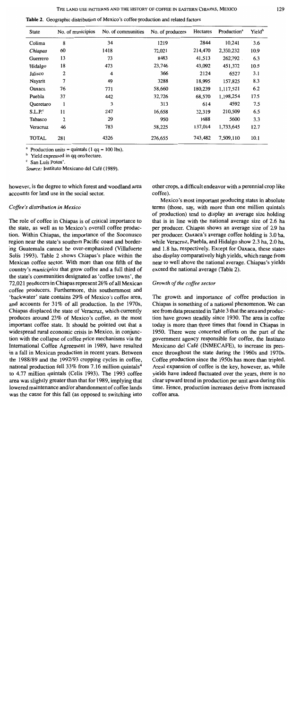| State               | No. of municipios | No. of communities | No. of producers | Hectares | Production <sup>a</sup> | Yield <sup>b</sup> |
|---------------------|-------------------|--------------------|------------------|----------|-------------------------|--------------------|
| Colima              | 8                 | 34                 | 1219             | 2844     | 10,241                  | 3.6                |
| Chiapas             | 60                | 1418               | 72,021           | 214,470  | 2,350,232               | 10.9               |
| Guerrero            | 13                | 73                 | 8483             | 41,513   | 262,792                 | 6.3                |
| Hidalgo             | 18                | 473                | 23,746           | 43,092   | 451,372                 | 10.5               |
| Jalisco             | 2                 | 4                  | 366              | 2124     | 6527                    | 3.1                |
| Nayarit             | 7                 | 49                 | 3288             | 18,995   | 157,825                 | 8.3                |
| Oaxaca              | 76                | 771                | 58,660           | 180,239  | 1,117,521               | 6.2                |
| Puebla              | 37                | 442                | 32,726           | 68,570   | 1.198.254               | 17.5               |
| Queretaro           | 1                 | 3                  | 313              | 614      | 4592                    | 7.5                |
| S.L.P. <sup>c</sup> | 11                | 247                | 16,658           | 32,319   | 210,509                 | 6.5                |
| Tabasco             | 2                 | 29                 | 950              | 1688     | 5600                    | 3.3                |
| Veracruz            | 46                | 783                | 58,225           | 137,014  | 1,733,645               | 12.7               |
| <b>TOTAL</b>        | 281               | 4326               | 276,655          | 743,482  | 7,509,110               | 10.1               |

Table 2. Geographic distribution of Mexico's coffee production and related factors

Production units = quintals  $(1 \text{ qq} = 100 \text{ lbs})$ .

<sup>b</sup> Yield expressed in qq oro/hectare.

<sup>c</sup> San Luís Potos'.

Source: Instituto Mexicano del Café (1989).

however, is the degree to which forest and woodland area accounts for land use in the social sector.

### Coffee's distribution in Mexico

The role of coffee in Chiapas is of critical importance to the state, as well as to Mexico's overall coffee production. Within Chiapas, the importance of the Soconusco region near the state's southern Pacific coast and bordering Guatemala cannot be over-emphasized (Villafuerte Solís 1993). Table 2 shows Chiapas's place within the Mexican coffee sector. With more than one fifth of the country's municipios that grow coffee and a full third of the state's communities designated as 'coffee towns', the 72,021 producers in Chiapas represent 26% of all Mexican coffee producers. Furthermore, this southernmost and 'backwater' state contains 29% of Mexico's coffee area, and accounts for 31% of all production. In the 1970s, Chiapas displaced the state of Veracruz, which currently produces around 23% of Mexico's coffee, as the most important coffee state. It should be pointed out that a widespread rural economic crisis in Mexico, in conjunction with the collapse of coffee price mechanisms via the International Coffee Agreement in 1989, have resulted in a fall in Mexican production in recent years. Between the 1988/89 and the 1992/93 cropping cycles in coffee, national production fell 33% from 7.16 million quintals<sup>4</sup> to 4.77 million quintals (Celis 1993). The 1993 coffee area was slightly greater than that for 1989, implying that lowered maintenance and/or abandonment of coffee lands was the cause for this fall (as opposed to switching into other crops, a difficult endeavor with a perennial crop like coffee).

Mexico's most important producing states in absolute terms (those, say, with more than one million quintals of production) tend to display an average size holding that is in line with the national average size of 2.6 ha per producer. Chiapas shows an average size of 2.9 ha per producer. Oaxaca's average coffee holding is 3.0 ha, while Veracruz, Puebla, and Hidalgo show 2.3 ha, 2.0 ha, and 1.8 ha, respectively. Except for Oaxaca, these states also display comparatively high yields, which range from near to well above the national average. Chiapas's yields exceed the national average (Table 2).

#### Growth of the coffee sector

The growth and importance of coffee production in Chiapas is something of a national phenomenon. We can see from data presented in Table 3 that the area and production have grown steadily since 1930. The area in coffee today is more than three times that found in Chiapas in 1950. There were concerted efforts on the part of the government agency responsible for coffee, the Instituto Mexicano del Café (INMECAFE), to increase its presence throughout the state during the 1960s and 1970s. Coffee production since the 1950s has more than tripled. Areal expansion of coffee is the key, however, as, while yields have indeed fluctuated over the years, there is no clear upward trend in production per unit area during this time. Hence, production increases derive from increased coffee area.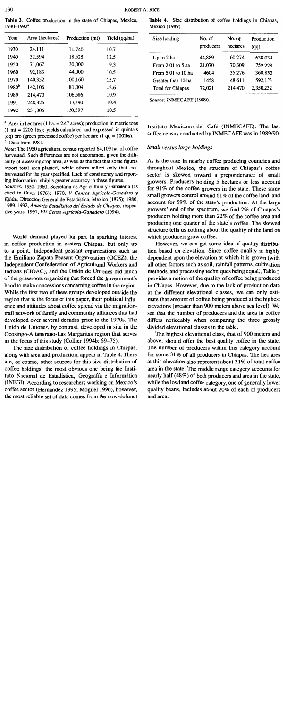| Year       | Area (hectares) | Production (mt) | Yield (qq/ha) |
|------------|-----------------|-----------------|---------------|
| 1930       | 24.111          | 11,740          | 10.7          |
| 1940       | 32.594          | 18,525          | 12.5          |
| 1950       | 71,067          | 30,000          | 9.3           |
| 1960       | 92.183          | 44,000          | 10.5          |
| 1970       | 140,352         | 100,160         | 15.7          |
| $1980^{b}$ | 142,106         | 81,004          | 12.6          |
| 1989       | 214,470         | 106,586         | 10.9          |
| 1991       | 248.326         | 117,390         | 10.4          |
| 1992       | 231,305         | 110,397         | 10.5          |
|            |                 |                 |               |

Table 3. Coffee production in the state of Chiapas, Mexico, 1930-1992<sup>a</sup>

<sup>a</sup> Area in hectares (1 ha. = 2.47 acres); production in metric tons  $(1 \text{ mt} = 2205 \text{ lbs})$ ; yields calculated and expressed in quintals (qq) oro (green processed coffee) per hectare (1 qq =  $100$ lbs).  $<sup>b</sup>$  Data from 1981.</sup>

Note: The 1950 agricultural census reported 64,109 ha. of coffee harvested. Such differences are not uncommon, given the difficulty of assessing crop area, as well as the fact that some figures report total area planted, while others reflect only that area harvested for the year specified. Lack of consistency and reporting information inhibits greater accuracy in these figures.

Sources: 1930-1960, Secretaría de Agricultura y Ganadería (as cited in Gunn 1976); 1970, V Censos Agrícola-Ganadero y Ejidal, Dirección General de Estadística, Mexico (1975); 1980, 1989, 1992, Anuario Estadístico del Estado de Chiapas, respective years; 1991, VII Censo Agrícola-Ganadero (1994).

World demand played its part in sparking interest in coffee production in eastern Chiapas, but only up to a point. Independent peasant organizations such as the Emiliano Zapata Peasant Organization (OCEZ), the Independent Confederation of Agricultural Workers and Indians (CIOAC), and the Unión de Uniones did much of the grassroots organizing that forced the government's hand to make concessions concerning coffee in the region. While the first two of these groups developed outside the region that is the focus of this paper, their political influence and attitudes about coffee spread via the migrationtrail network of family and community alliances that had developed over several decades prior to the 1970s. The Unión de Uniones, by contrast, developed in situ in the Ocosingo-Altamirano-Las Margaritas region that serves as the focus of this study (Collier 1994b: 69-75).

The size distribution of coffee holdings in Chiapas, along with area and production, appear in Table 4. There are, of course, other sources for this size distribution of coffee holdings, the most obvious one being the Instituto Nacional de Estadística, Geografía e Informática (INEGI). According to researchers working on Mexico's coffee sector (Hernandez 1995; Moguel 1996), however, the most reliable set of data comes from the now-defunct

Table 4. Size distribution of coffee holdings in Chiapas, Mexico (1989)

| Size holding             | No. of<br>producers | No. of<br>hectares | Production<br>(qq) |
|--------------------------|---------------------|--------------------|--------------------|
| Up to 2 ha               | 44,889              | 60,274             | 638,039            |
| From $2.01$ to 5 ha      | 21,070              | 70,309             | 759,228            |
| From 5.01 to 10 ha       | 4604                | 35,276             | 360,832            |
| Greater than 10 ha       | 1458                | 48,611             | 592,133            |
| <b>Total for Chiapas</b> | 72,021              | 214,470            | 2.350.232          |

Source: INMECAFE (1989).

Instituto Mexicano del Café (INMECAFE). The last coffee census conducted by INMECAFE was in 1989/90.

#### Small versus large holdings

As is the case in nearby coffee producing countries and throughout Mexico, the structure of Chiapas's coffee sector is skewed toward a preponderance of small growers. Producers holding 5 hectares or less account for 91% of the coffee growers in the state. These same small growers control around 61% of the coffee land, and account for 59% of the state's production. At the large growers' end of the spectrum, we find 2% of Chiapas's producers holding more than 22% of the coffee area and producing one quarter of the state's coffee. The skewed structure tells us nothing about the quality of the land on which producers grow coffee.

However, we can get some idea of quality distribution based on elevation. Since coffee quality is highly dependent upon the elevation at which it is grown (with all other factors such as soil, rainfall patterns, cultivation methods, and processing techniques being equal), Table 5 provides a notion of the quality of coffee being produced in Chiapas. However, due to the lack of production data at the different elevational classes, we can only estimate that amount of coffee being produced at the highest elevations (greater than 900 meters above sea level). We see that the number of producers and the area in coffee differs noticeably when comparing the three grossly divided elevational classes in the table.

The highest elevational class, that of 900 meters and above, should offer the best quality coffee in the state. The number of producers within this category account for some 31% of all producers in Chiapas. The hectares at this elevation also represent about 31% of total coffee area in the state. The middle range category accounts for nearly half (48%) of both producers and area in the state, while the lowland coffee category, one of generally lower quality beans, includes about 20% of each of producers and area.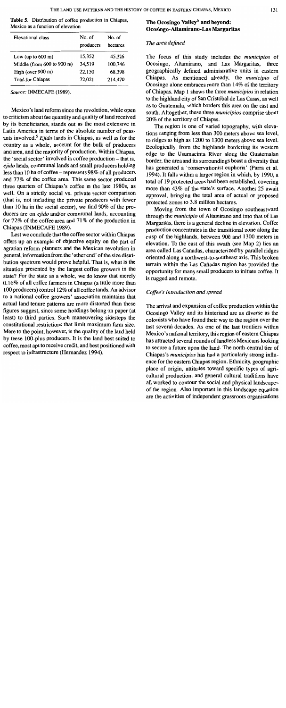Table 5. Distribution of coffee production in Chiapas, Mexico as a function of elevation

| Elevational class            | No. of<br>producers | No. of<br>hectares |
|------------------------------|---------------------|--------------------|
| Low (up to $600 \text{ m}$ ) | 15.352              | 45,326             |
| Middle (from 600 to 900 m)   | 34.519              | 100,746            |
| High (over 900 m)            | 22,150              | 68.398             |
| <b>Total for Chiapas</b>     | 72.021              | 214,470            |

Source: INMECAFE (1989).

Mexico's land reform since the revolution, while open to criticism about the quantity and quality of land received by its beneficiaries, stands out as the most extensive in Latin America in terms of the absolute number of peasants involved.<sup>5</sup> Ejido lands in Chiapas, as well as for the country as a whole, account for the bulk of producers and area, and the majority of production. Within Chiapas, the 'social sector' involved in coffee production – that is, ejido lands, communal lands and small producers holding less than 10 ha of coffee – represents 98% of all producers and 77% of the coffee area. This same sector produced three quarters of Chiapas's coffee in the late 1980s, as well. On a strictly social vs. private sector comparison (that is, not including the private producers with fewer than 10 ha in the social sector), we find 90% of the producers are on ejido and/or communal lands, accounting for 72% of the coffee area and 71% of the production in Chiapas (INMECAFE 1989).

Lest we conclude that the coffee sector within Chiapas offers up an example of objective equity on the part of agrarian reform planners and the Mexican revolution in general, information from the 'other end' of the size distribution spectrum would prove helpful. That is, what is the situation presented by the largest coffee growers in the state? For the state as a whole, we do know that merely 0.16% of all coffee farmers in Chiapas (a little more than 100 producers) control 12% of all coffee lands. An advisor to a national coffee growers' association maintains that actual land tenure patterns are more distorted than these figures suggest, since some holdings belong on paper (at least) to third parties. Such maneuvering sidesteps the constitutional restrictions that limit maximum farm size. More to the point, however, is the quality of the land held by these 100-plus producers. It is the land best suited to coffee, most apt to receive credit, and best positioned with respect to infrastructure (Hernandez 1994).

# The Ocosingo Valley<sup>6</sup> and beyond: Ocosingo-Altamirano-Las Margaritas

# The area defined

The focus of this study includes the *municipios* of Ocosingo, Altamirano, and Las Margaritas, three geographically defined administrative units in eastern Chiapas. As mentioned already, the municipio of Ocosingo alone embraces more than 14% of the territory of Chiapas. Map 1 shows the three municipios in relation to the highland city of San Cristóbal de Las Casas, as well as to Guatemala, which borders this area on the east and south. Altogether, these three *municipios* comprise about 20% of the territory of Chiapas.

The region is one of varied topography, with elevations ranging from less than 300 meters above sea level, to ridges as high as 1200 to 1300 meters above sea level. Ecologically, from the highlands bordering its western edge to the Usumacinta River along the Guatemalan border, the area and its surroundings boast a diversity that has generated a 'conservationist euphoria' (Parra et al. 1994). It falls within a larger region in which, by 1990, a total of 19 protected areas had been established, covering more than 43% of the state's surface. Another 25 await approval, bringing the total area of actual or proposed protected zones to 3.8 million hectares.

Moving from the town of Ocosingo southeastward through the *municipio* of Altamirano and into that of Las Margaritas, there is a general decline in elevation. Coffee production concentrates in the transitional zone along the cusp of the highlands, between 900 and 1300 meters in elevation. To the east of this swath (see Map 2) lies an area called Las Cañadas, characterized by parallel ridges oriented along a northwest-to-southeast axis. This broken terrain within the Las Cañadas region has provided the opportunity for many small producers to initiate coffee. It is rugged and remote.

# Coffee's introduction and spread

The arrival and expansion of coffee production within the Ocosingo Valley and its hinterland are as diverse as the colonists who have found their way to the region over the last several decades. As one of the last frontiers within Mexico's national territory, this region of eastern Chiapas has attracted several rounds of landless Mexicans looking to secure a future upon the land. The north-central tier of Chiapas's *municipios* has had a particularly strong influence for the eastern Chiapas region. Ethnicity, geographic place of origin, attitudes toward specific types of agricultural production, and general cultural traditions have all worked to contour the social and physical landscapes of the region. Also important in this landscape equation are the activities of independent grassroots organizations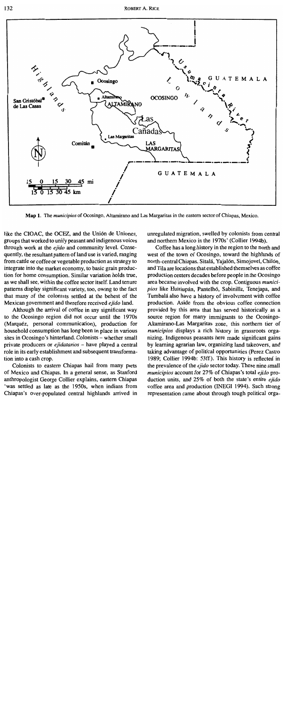

Map 1. The municipios of Ocosingo, Altamirano and Las Margaritas in the eastern sector of Chiapas, Mexico.

like the CIOAC, the OCEZ, and the Unión de Uniones, groups that worked to unify peasant and indigenous voices through work at the ejido and community level. Consequently, the resultant pattern of land use is varied, ranging from cattle or coffee or vegetable production as strategy to integrate into the market economy, to basic grain production for home consumption. Similar variation holds true, as we shall see, within the coffee sector itself. Land tenure patterns display significant variety, too, owing to the fact that many of the colonists settled at the behest of the Mexican government and therefore received ejido land.

Although the arrival of coffee in any significant way to the Ocosingo region did not occur until the 1970s (Marquéz, personal communication), production for household consumption has long been in place in various sites in Ocosingo's hinterland. Colonists - whether small private producers or *ejidatarios* - have played a central role in its early establishment and subsequent transformation into a cash crop.

Colonists to eastern Chiapas hail from many parts of Mexico and Chiapas. In a general sense, as Stanford anthropologist George Collier explains, eastern Chiapas 'was settled as late as the 1950s, when indians from Chiapas's over-populated central highlands arrived in unregulated migration, swelled by colonists from central and northern Mexico in the 1970s' (Collier 1994b).

Coffee has a long history in the region to the north and west of the town of Ocosingo, toward the highlands of north-central Chiapas. Sitalá, Yajalón, Simojovel, Chilón, and Tila are locations that established themselves as coffee production centers decades before people in the Ocosingo area became involved with the crop. Contiguous municipios like Huitiupán, Pantelhó, Sabinilla, Tenejapa, and Tumbalá also have a history of involvement with coffee production. Aside from the obvious coffee connection provided by this area that has served historically as a source region for many immigrants to the Ocosingo-Altamirano-Las Margaritas zone, this northern tier of municipios displays a rich history in grassroots organizing. Indigenous peasants here made significant gains by learning agrarian law, organizing land takeovers, and taking advantage of political opportunities (Perez Castro 1989; Collier 1994b: 53ff). This history is reflected in the prevalence of the ejido sector today. These nine small municipios account for 27% of Chiapas's total ejido production units, and 25% of both the state's entire ejido coffee area and production (INEGI 1994). Such strong representation came about through tough political orga-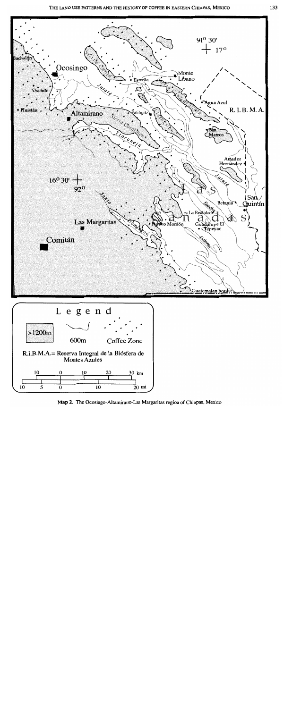

Map 2. The Ocosingo-Altamirano-Las Margaritas region of Chiapas, Mexico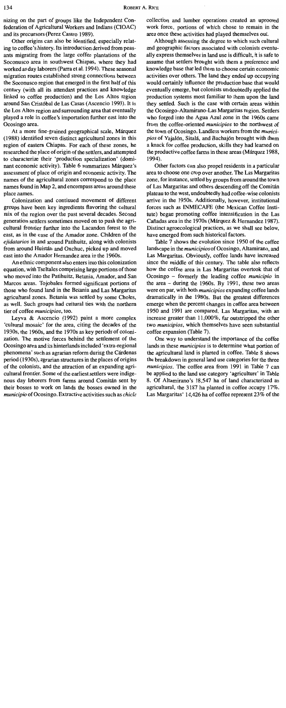nizing on the part of groups like the Independent Confederation of Agricultural Workers and Indians (CIOAC) and its precursors (Perez Castro 1989).

Other origins can also be identified, especially relating to coffee's history. Its introduction derived from peasants migrating from the large coffee plantations of the Soconusco area in southwest Chiapas, where they had worked as day laborers (Parra et al. 1994). These seasonal migration routes established strong connections between the Soconusco region that emerged in the first half of this century (with all its attendant practices and knowledge linked to coffee production) and the Los Altos region around San Cristóbal de Las Casas (Ascencio 1993). It is the Los Altos region and surrounding area that eventually played a role in coffee's importation further east into the Ocosingo area.

At a more fine-grained geographical scale, Márquez (1988) identified seven distinct agricultural zones in this region of eastern Chiapas. For each of these zones, he researched the place of origin of the settlers, and attempted to characterize their 'production specialization' (dominant economic activity). Table 6 summarizes Márquez's assessment of place of origin and economic activity. The names of the agricultural zones correspond to the place names found in Map 2, and encompass areas around these place names.

Colonization and continued movement of different groups have been key ingredients flavoring the cultural mix of the region over the past several decades. Second generation settlers sometimes moved on to push the agricultural frontier further into the Lacandon forest to the east, as in the case of the Amador zone. Children of the ejidatarios in and around Patihuitz, along with colonists from around Huistán and Oxchuc, picked up and moved east into the Amador Hernandez area in the 1960s.

An ethnic component also enters into this colonization equation, with Tseltales comprising large portions of those who moved into the Patihuitz, Betania, Amador, and San Marcos areas. Tojobales formed significant portions of those who found land in the Betania and Las Margaritas agricultural zones. Betania was settled by some Choles, as well. Such groups had cultural ties with the northern tier of coffee municipios, too.

Leyva & Ascencio (1992) paint a more complex 'cultural mosaic' for the area, citing the decades of the 1930s, the 1960s, and the 1970s as key periods of colonization. The motive forces behind the settlement of the Ocosingo area and its hinterlands included 'extra-regional phenomena' such as agrarian reform during the Cárdenas period (1930s), agrarian structures in the places of origins of the colonists, and the attraction of an expanding agricultural frontier. Some of the earliest settlers were indigenous day laborers from farms around Comitán sent by their bosses to work on lands the bosses owned in the municipio of Ocosingo. Extractive activities such as *chicle*  collection and lumber operations created an uprooted work force, portions of which chose to remain in the area once these activities had played themselves out.

Although assessing the degree to which such cultural and geographic factors associated with colonists eventually express themselves in land use is difficult, it is safe to assume that settlers brought with them a preference and knowledge base that led them to choose certain economic activities over others. The land they ended up occupying would certainly influence the production base that would eventually emerge, but colonists undoubtedly applied the production systems most familiar to them upon the land they settled. Such is the case with certain areas within the Ocosingo-Altamirano-Las Margaritas region. Settlers who forged into the Agua Azul zone in the 1960s came from the coffee-oriented *municipios* to the northwest of the town of Ocosingo. Landless workers from the *munici*pios of Yajalón, Sitalá, and Bachajón brought with them a knack for coffee production, skills they had learned on the productive coffee farms in these areas (Márquez 1988, 1994).

Other factors can also propel residents in a particular area to choose one crop over another. The Las Margaritas zone, for instance, settled by groups from around the town of Las Margaritas and others descending off the Comitán plateau to the west, undoubtedly had coffee-wise colonists arrive in the 1950s. Additionally, however, institutional forces such as INMECAFE (the Mexican Coffee Institute) began promoting coffee intensification in the Las Cañadas area in the 1970s (Márquez & Hernandez 1987). Distinct agroecological practices, as we shall see below, have emerged from such historical factors.

Table 7 shows the evolution since 1950 of the coffee landscape in the *municipios* of Ocosingo, Altamirano, and Las Margaritas. Obviously, coffee lands have increased since the middle of this century. The table also reflects how the coffee area in Las Margaritas overtook that of Ocosingo - formerly the leading coffee municipio in the area  $-$  during the 1960s. By 1991, these two areas were on par, with both municipios expanding coffee lands dramatically in the 1980s. But the greatest differences emerge when the percent changes in coffee area between 1950 and 1991 are compared. Las Margaritas, with an increase greater than 11,000%, far outstripped the other two municipios, which themselves have seen substantial coffee expansion (Table 7).

One way to understand the importance of the coffee lands in these *municipios* is to determine what portion of the agricultural land is planted in coffee. Table 8 shows the breakdown in general land use categories for the three municipios. The coffee area from 1991 in Table 7 can be applied to the land use category 'agriculture' in Table 8. Of Altamirano's 18,547 ha of land characterized as agricultural, the 3187 ha planted in coffee occupy 17%. Las Margaritas' 14,426 ha of coffee represent 23% of the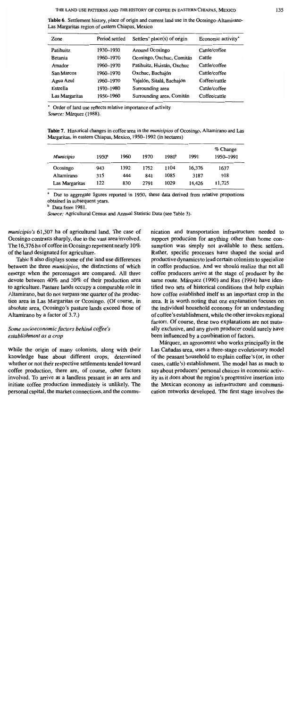Table 6. Settlement history, place of origin and current land use in the Ocosingo-Altamirano-Las Margaritas region of eastern Chiapas, Mexico

| $Z$ one        | Period settled | Settlers' place(s) of origin | Economic activity* |
|----------------|----------------|------------------------------|--------------------|
| Patihuitz      | 1930–1950      | Around Ocosingo              | Cattle/coffee      |
| Betania        | 1960-1970      | Ocosingo, Oxchuc, Comitán    | Cattle             |
| Amador         | 1960-1970      | Patihuitz, Huistán, Oxchuc   | Cattle/coffee      |
| San Marcos     | 1960-1970      | Oxchuc, Bachajón             | Cattle/coffee      |
| Agua Azul      | 1960-1970      | Yajalón, Sitalá, Bachajón    | Coffee/cattle      |
| Estrella       | 1970-1980      | Surrounding area             | Cattle/coffee      |
| Las Margaritas | 1950-1960      | Surrounding area, Comitán    | Coffee/cattle      |

Order of land use reflects relative importance of activity Source: Márquez (1988).

Table 7. Historical changes in coffee area in the *municipios* of Ocosingo, Altamirano and Las Margaritas, in eastern Chiapas, Mexico, 1950-1992 (in hectares)

| Municipio      | $1950^a$ | 1960 | 1970 | $1980^{b}$ | 1991   | % Change<br>1950-1991 |
|----------------|----------|------|------|------------|--------|-----------------------|
| Ocosingo       | 943      | 1392 | 1752 | 1104       | 16,376 | 1637                  |
| Altamirano     | 315      | 444  | 841  | 1085       | 3187   | 918                   |
| Las Margaritas | 122      | 830  | 2791 | 1029       | 14.426 | 11.725                |

Due to aggregate figures reported in 1950, these data derived from relative proportions obtained in subsequent years.

 $<sup>b</sup>$  Data from 1981.</sup>

Source: Agricultural Census and Annual Statistic Data (see Table 3).

municipio's 61,507 ha of agricultural land. The case of Ocosingo contrasts sharply, due to the vast area involved. The 16.376 ha of coffee in Ocosingo represent nearly 10% of the land designated for agriculture.

Table 8 also displays some of the land use differences between the three municipios, the distinctions of which emerge when the percentages are compared. All three devote between 40% and 50% of their production area to agriculture. Pasture lands occupy a comparable role in Altamirano, but do not surpass one quarter of the production area in Las Margaritas or Ocosingo. (Of course, in absolute area, Ocosingo's pasture lands exceed those of Altamirano by a factor of 3.7.)

### Some socioeconomic factors behind coffee's establishment as a crop

While the origin of many colonists, along with their knowledge base about different crops, determined whether or not their respective settlements tended toward coffee production, there are, of course, other factors involved. To arrive as a landless peasant in an area and initiate coffee production immediately is unlikely. The personal capital, the market connections, and the communication and transportation infrastructure needed to support production for anything other than home consumption was simply not available to these settlers. Rather, specific processes have shaped the social and productive dynamics to lead certain colonists to specialize in coffee production. And we should realize that not all coffee producers arrive at the stage of producer by the same route. Márquez (1990) and Rus (1994) have identified two sets of historical conditions that help explain how coffee established itself as an important crop in the area. It is worth noting that one explanation focuses on the individual household economy for an understanding of coffee's establishment, while the other invokes regional factors. Of course, these two explanations are not mutually exclusive, and any given producer could surely have been influenced by a combination of factors.

Márquez, an agronomist who works principally in the Las Cañadas area, uses a three-stage evolutionary model of the peasant household to explain coffee's (or, in other cases, cattle's) establishment. The model has as much to say about producers' personal choices in economic activity as it does about the region's progressive insertion into the Mexican economy as infrastructure and communication networks developed. The first stage involves the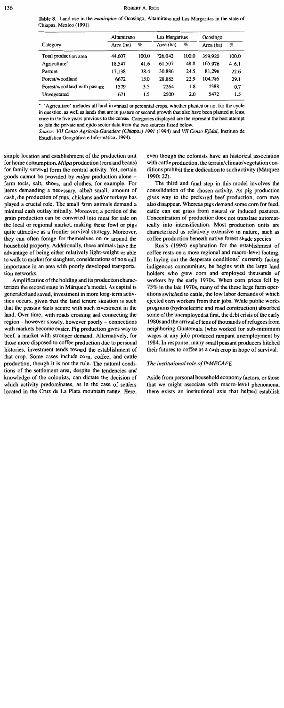Table 8. Land use in the *municipios* of Ocosingo, Altamirano and Las Margaritas in the state of Chiapas, Mexico (1991)

|                              | Altamirano |       | Las Margaritas |       | Ocosingo  |       |
|------------------------------|------------|-------|----------------|-------|-----------|-------|
| Category                     | Area (ha)  | %     | Area (ha)      | %     | Area (ha) | %     |
| Total production area        | 44,607     | 100.0 | 126,042        | 100.0 | 359,920   | 100.0 |
| Agriculture*                 | 18,547     | 41.6  | 61,507         | 48.8  | 165,976   | 4 6.1 |
| Pasture                      | 17,138     | 38.4  | 30,886         | 24.5  | 81,298    | 22.6  |
| Forest/woodland              | 6672       | 15.0  | 28,885         | 22.9  | 104.786   | 29.1  |
| Forest/woodland with pasture | 1579       | 3.5   | 2264           | 1.8   | 2388      | 0.7   |
| Unvegetated                  | 671        | 1.5   | 2500           | 2.0   | 5472      | 1.5   |

\* 'Agriculture' includes all land in annual or perennial crops, whether planted or not for the cycle in question, as well as lands that are in pasture or second growth that also have been planted at least once in the five years previous to the census. Categories displayed are the represent the best attempt to join the private and ejido sector data from the two sources listed below.

Source: VII Censo Agrícola-Ganadero (Chiapas) 1991 (1994) and VII Censo Ejidal, Instituto de Estadística Geográfica e Informática (1994).

simple location and establishment of the production unit for home consumption. Milpa production (corn and beans) for family survival form the central activity. Yet, certain goods cannot be provided by *milpa* production alone farm tools, salt, shoes, and clothes, for example. For items demanding a necessary, albeit small, amount of cash, the production of pigs, chickens and/or turkeys has played a crucial role. The small farm animals demand a minimal cash outlay initially. Moreover, a portion of the grain production can be converted into meat for sale on the local or regional market, making these fowl or pigs quite attractive as a frontier survival strategy. Moreover, they can often forage for themselves on or around the household property. Additionally, these animals have the advantage of being either relatively light-weight or able to walk to market for slaughter, considerations of no small importance in an area with poorly developed transportation networks.

Amplification of the holding and its production characterizes the second stage in Márquez's model. As capital is generated and saved, investment in more long-term activities occurs, given that the land tenure situation is such that the peasant feels secure with such investment in the land. Over time, with roads crossing and connecting the region – however slowly, however poorly – connections with markets become easier. Pig production gives way to beef, a market with stronger demand. Alternatively, for those more disposed to coffee production due to personal histories, investment tends toward the establishment of that crop. Some cases include corn, coffee, and cattle production, though it is not the rule. The natural conditions of the settlement area, despite the tendencies and knowledge of the colonists, can dictate the decision of which activity predominates, as in the case of settlers located in the Cruz de La Plata mountain range. Here,

even though the colonists have an historical association with cattle production, the terrain/climate/vegetation conditions prohibit their dedication to such activity (Márquez 1990: 22).

The third and final step in this model involves the consolidation of the chosen activity. As pig production gives way to the preferred beef production, corn may also disappear. Whereas pigs demand some corn for feed, cattle can eat grass from natural or induced pastures. Concentration of production does not translate automatically into intensification. Most production units are characterized as relatively extensive in nature, such as coffee production beneath native forest shade species

Rus's (1994) explanation for the establishment of coffee rests on a more regional and macro-level footing. In laying out the desperate conditions<sup>7</sup> currently facing indigenous communities, he begins with the large land holders who grew corn and employed thousands of workers by the early 1970s. When corn prices fell by 75% in the late 1970s, many of the these large farm operations switched to cattle, the low labor demands of which ejected corn workers from their jobs. While public works programs (hydroelectric and road construction) absorbed some of the unemployed at first, the debt crisis of the early 1980s and the arrival of tens of thousands of refugees from neighboring Guatemala (who worked for sub-minimum wages at any job) produced rampant unemployment by 1984. In response, many small peasant producers hitched their futures to coffee as a cash crop in hope of survival.

#### The institutional role of INMECAFE

Aside from personal household economy factors, or those that we might associate with macro-level phenomena, there exists an institutional axis that helped establish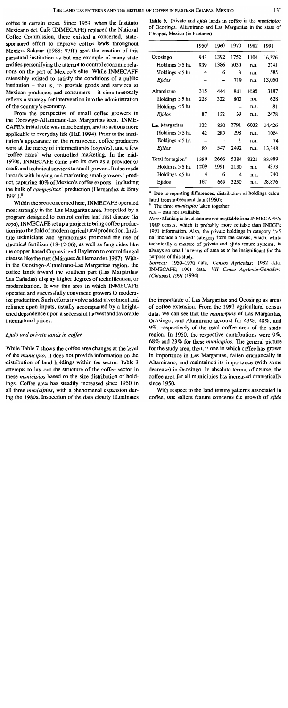coffee in certain areas. Since 1959, when the Instituto Mexicano del Café (INMECAFE) replaced the National Coffee Commission, there existed a concerted, statesponsored effort to improve coffee lands throughout Mexico. Salazar (1988: 97ff) sees the creation of this parastatal institution as but one example of many state entities personifying the attempt to control economic relations on the part of Mexico's elite. While INMECAFE ostensibly existed to satisfy the conditions of a public institution  $-$  that is, to provide goods and services to Mexican producers and consumers  $-$  it simultaneously reflects a strategy for intervention into the administration of the country's economy.

From the perspective of small coffee growers in the Ocosingo-Altamirano-Las Margaritas area, INME-CAFE's initial role was more benign, and its actions more applicable to everyday life (Hall 1994). Prior to the institution's appearance on the rural scene, coffee producers were at the mercy of intermediaries (coyotes), and a few 'coffee czars' who controlled marketing. In the mid-1970s, INMECAFE came into its own as a provider of credit and technical services to small growers. It also made inroads with buying and marketing small growers' product, capturing 40% of Mexico's coffee exports – including the bulk of *campesinos'* production (Hernandez & Bray 1991).8

Within the area concerned here, INMECAFE operated most strongly in the Las Margaritas area. Propelled by a program designed to control coffee leaf rust disease (la roya), INMECAFE set up a project to bring coffee production into the fold of modern agricultural production. Institute technicians and agronomists promoted the use of chemical fertilizer (18-12-06), as well as fungicides like the copper-based Cupravit and Bayleton to control fungal disease like the rust (Márquez & Hernandez 1987). Within the Ocosingo-Altamirano-Las Margaritas region, the coffee lands toward the southern part (Las Margaritas/ Las Cañadas) display higher degrees of technification, or modernization. It was this area in which INMECAFE operated and successfully convinced growers to modernize production. Such efforts involve added investment and reliance upon inputs, usually accompanied by a heightened dependence upon a successful harvest and favorable international prices.

### Ejido and private lands in coffee

While Table 7 shows the coffee area changes at the level of the *municipio*, it does not provide information on the distribution of land holdings within the sector. Table 9 attempts to lay out the structure of the coffee sector in these municipios based on the size distribution of holdings. Coffee area has steadily increased since 1950 in all three *municipios*, with a phenomenal expansion during the 1980s. Inspection of the data clearly illuminates Table 9. Private and ejido lands in coffee in the municipios of Ocosingo, Altamirano and Las Margaritas in the state of Chiapas, Mexico (in hectares)

|                               | $1950^a$ | 1960 | 1970 | 1982 | 1991   |
|-------------------------------|----------|------|------|------|--------|
| Ocosingo                      | 943      | 1392 | 1752 | 1104 | 16,376 |
| Holdings $>5$ ha              | 939      | 1386 | 1030 | n.a. | 2741   |
| Holdings $<$ 5 ha             | 4        | 6    | 3    | n.a. | 585    |
| Ejidos                        |          |      | 719  | n.a. | 13,050 |
| Altamirano                    | 315      | 444  | 841  | 1085 | 3187   |
| Holdings $>5$ ha              | 228      | 322  | 802  | n.a. | 628    |
| Holdings $<$ 5 ha             |          |      |      | n.a. | 81     |
| Ejidos                        | 87       | 122  | 39   | n.a. | 2478   |
| Las Margaritas                | 122      | 830  | 2791 | 6032 | 14,426 |
| Holdings $>5$ ha              | 42       | 283  | 298  | n.a. | 1004   |
| Holdings $<$ 5 ha             |          |      | 1    | n.a. | 74     |
| Ejidos                        | 80       | 547  | 2492 | n.a. | 13,348 |
| Total for region <sup>b</sup> | 1380     | 2666 | 5384 | 8221 | 33,989 |
| Holdings $>5$ ha              | 1209     | 1991 | 2130 | n.a. | 4373   |
| Holdings <5 ha                | 4        | 6    | 4    | n.a. | 740    |
| Ejidos                        | 167      | 669  | 3250 | n.a. | 28,876 |

Due to reporting differences, distribution of holdings calculated from subsequent data (1960);

<sup>b</sup> The three *municipios* taken together;

 $n.a. = data not available.$ 

Sources: 1950-1970 data, Censos Agricolas; 1982 data, INMECAFE; 1991 data, VII Censo Agrícola-Ganadero (Chiapas), 1991 (1994).

the importance of Las Margaritas and Ocosingo as areas of coffee extension. From the 1991 agricultural census data, we can see that the municipios of Las Margaritas, Ocosingo, and Altamirano account for 43%, 48%, and 9%, respectively of the total coffee area of the study region. In 1950, the respective contributions were 9%, 68% and 23% for these *municipios*. The general picture for the study area, then, is one in which coffee has grown in importance in Las Margaritas, fallen dramatically in Altamirano, and maintained its importance (with some decrease) in Ocosingo. In absolute terms, of course, the coffee area for all municipios has increased dramatically since 1950.

With respect to the land tenure patterns associated in coffee, one salient feature concerns the growth of ejido

Note: Municipio level data are not available from INMECAFE's 1989 census, which is probably more reliable than INEGI's 1991 information. Also, the private holdings in category  $5$ ha' include a 'mixed' category from the census, which, while technically a mixture of private and ejido tenure systems, is always so small in terms of area as to be insignificant for the purpose of this study.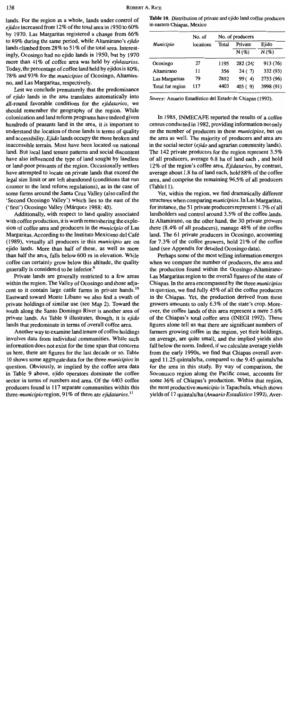lands. For the region as a whole, lands under control of ejidos increased from 12% of the total area in 1950 to 60% by 1970. Las Margaritas registered a change from 66% to 89% during the same period, while Altamirano's ejido lands climbed from 28% to 51% of the total area. Interestingly, Ocosingo had no ejido lands in 1950, but by 1970 more than 41% of coffee area was held by ejidatarios. Today, the percentage of coffee land held by ejidos is 80%, 78% and 93% for the municipios of Ocosingo, Altamirano, and Las Margaritas, respectively.

Lest we conclude prematurely that the predominance of ejido lands in the area translates automatically into all-round favorable conditions for the ejidatarios, we should remember the geography of the region. While colonization and land reform programs have indeed given hundreds of peasants land in the area, it is important to understand the location of those lands in terms of quality and accessibility. Ejido lands occupy the more broken and inaccessible terrain. Most have been located on national land. But local land tenure patterns and social discontent have also influenced the type of land sought by landless or land-poor peasants of the region. Occasionally settlers have attempted to locate on private lands that exceed the legal size limit or are left abandoned (conditions that run counter to the land reform regulations), as in the case of some farms around the Santa Cruz Valley (also called the 'Second Ocosingo Valley') which lies to the east of the ('first') Ocosingo Valley (Márquez 1988: 40).

Additionally, with respect to land quality associated with coffee production, it is worth remembering the explosion of coffee area and producers in the *municipio* of Las Margaritas. According to the Instituto Mexicano del Café (1989), virtually all producers in this *municipio* are on ejido lands. More than half of these, as well as more than half the area, falls below 600 m in elevation. While coffee can certainly grow below this altitude, the quality generally is considered to be inferior.<sup>9</sup>

Private lands are generally restricted to a few areas within the region. The Valley of Ocosingo and those adjacent to it contain large cattle farms in private hands.<sup>10</sup> Eastward toward Monte Líbano we also find a swath of private holdings of similar use (see Map 2). Toward the south along the Santo Domingo River is another area of private lands. As Table 9 illustrates, though, it is ejido lands that predominate in terms of overall coffee area.

Another way to examine land tenure of coffee holdings involves data from individual communities. While such information does not exist for the time span that concerns us here, there are figures for the last decade or so. Table 10 shows some aggregate data for the three *municipios* in question. Obviously, as implied by the coffee area data in Table 9 above, ejido operators dominate the coffee sector in terms of numbers and area. Of the 4403 coffee producers found in 117 separate communities within this three-municipio region, 91% of them are ejidatarios.<sup>11</sup>

Table 10. Distribution of private and ejido land coffee producers in eastern Chiapas, Mexico

|                  | No. of    |       | No. of producers |           |  |
|------------------|-----------|-------|------------------|-----------|--|
| Municipio        | locations | Total | Private          | Ejido     |  |
|                  |           |       | N(%)             | $N(\%)$   |  |
| Ocosingo         | 27        | 1195  | 282 (24)         | 913 (76)  |  |
| Altamirano       | 11        | 356   | 24(7)            | 332 (93)  |  |
| Las Margaritas   | 79        | 2852  | 99(4)            | 2753 (96) |  |
| Total for region | 117       | 4403  | 405(9)           | 3998 (91) |  |

Source: Anuario Estadístico del Estado de Chiapas (1992).

In 1985, INMECAFE reported the results of a coffee census conducted in 1982, providing information not only on the number of producers in these municipios, but on the area as well. The majority of producers and area are in the social sector  $(ejido$  and agrarian community lands). The 142 private producers for the region represent  $3.5\%$ of all producers, average 6.8 ha of land each, and hold 12% of the region's coffee area. Ejidatarios, by contrast, average about 1.8 ha of land each, hold 88% of the coffee area, and comprise the remaining 96.5% of all producers  $(Table11).$ 

Yet, within the region, we find dramatically different structures when comparing *municipios*. In Las Margaritas, for instance, the 51 private producers represent 1.7% of all landholders and control around 3.5% of the coffee lands. In Altamirano, on the other hand, the 30 private growers there  $(8.4\%$  of all producers), manage  $48\%$  of the coffee land. The 61 private producers in Ocosingo, accounting for 7.3% of the coffee growers, hold 21% of the coffee land (see Appendix for detailed Ocosingo data).

Perhaps some of the most telling information emerges when we compare the number of producers, the area and the production found within the Ocosingo-Altamirano-Las Margaritas region to the overall figures of the state of Chiapas. In the area encompassed by the three municipios in question, we find fully 45% of all the coffee producers in the Chiapas. Yet, the production derived from these growers amounts to only 6.3% of the state's crop. Moreover, the coffee lands of this area represent a mere 5.6% of the Chiapas's total coffee area (INEGI 1992). These figures alone tell us that there are significant numbers of farmers growing coffee in the region, yet their holdings, on average, are quite small, and the implied yields also fall below the norm. Indeed, if we calculate average yields from the early 1990s, we find that Chiapas overall averaged 11.25 quintals/ha, compared to the 9.45 quintals/ha for the area in this study. By way of comparison, the Soconusco region along the Pacific coast, accounts for some 36% of Chiapas's production. Within that region, the most productive *municipio* is Tapachula, which shows yields of 17 quintals/ha (Anuario Estadístico 1992). Aver-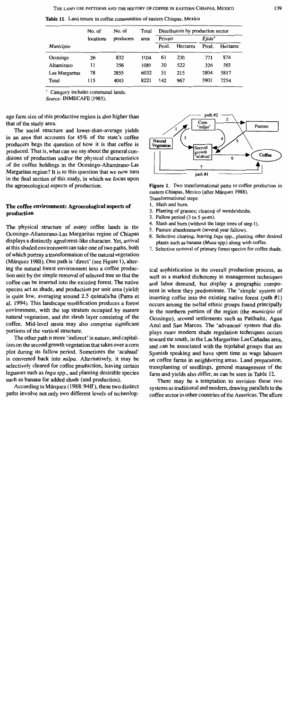|                | No. of    | No. of    | Total | Distribution by production sector |                 |        |                 |
|----------------|-----------|-----------|-------|-----------------------------------|-----------------|--------|-----------------|
|                | locations | producers | area  | Private                           |                 | Eiido* |                 |
| Municipio      |           |           |       | Prod.                             | <b>Hectares</b> | Prod.  | <b>Hectares</b> |
| Ocosingo       | 26        | 832       | 1104  | 61                                | 230             | 771    | 874             |
| Altamirano     | 11        | 356       | 1085  | 30                                | 522             | 326    | 563             |
| Las Margaritas | 78        | 2855      | 6032  | 51                                | 215             | 2804   | 5817            |
| Total          | 115       | 4043      | 8221  | 142                               | 967             | 3901   | 7254            |

Table 11. Land tenure in coffee communities of eastern Chiapas, Mexico

Category includes communal lands.

Source: INMECAFE (1985).

age farm size of this productive region is also higher than that of the study area.

The social structure and lower-than-average yields in an area that accounts for 45% of the state's coffee producers begs the question of how it is that coffee is produced. That is, what can we say about the general conditions of production and/or the physical characteristics of the coffee holdings in the Ocosingo-Altamirano-Las Margaritas region? It is to this question that we now turn in the final section of this study, in which we focus upon the agroecological aspects of production.

### The coffee environment: Agroecological aspects of production

The physical structure of many coffee lands in the Ocosingo-Altamirano-Las Margaritas region of Chiapas displays a distinctly agroforest-like character. Yet, arrival at this shaded environment can take one of two paths, both of which portray a transformation of the natural vegetation (Márquez 1988). One path is 'direct' (see Figure 1), altering the natural forest environment into a coffee production unit by the simple removal of selected tree so that the coffee can be inserted into the existing forest. The native species act as shade, and production per unit area (yield) is quite low, averaging around 2.5 quintals/ha (Parra et al. 1994). This landscape modification produces a forest environment, with the top stratum occupied by mature natural vegetation, and the shrub layer consisting of the coffee. Mid-level strata may also comprise significant portions of the vertical structure.

The other path is more 'indirect' in nature, and capitalizes on the second growth vegetation that takes over a corn plot during its fallow period. Sometimes the 'acahual' is converted back into *milpa*. Alternatively, it may be selectively cleared for coffee production, leaving certain legumes such as Inga spp., and planting desirable species such as banana for added shade (and production).

According to Márquez (1988: 94ff), these two distinct paths involve not only two different levels of technolog-



Figure 1. Two transformational paths to coffee production in eastern Chiapas, Mexico (after Márquez 1988). Transformational steps:

- 1. Slash and burn.
- Planting of grasses; clearing of weeds/shrubs.  $\overline{2}$ .
- 3. Fallow period (3 to 5 years).
- 4. Slash and burn (without the large trees of step 1).
- 5. Pasture abandonment (several year fallow).
- 6. Selective clearing, leaving *Inga* spp., planting other desired plants such as banana (Musa spp.) along with coffee.
- 7. Selective removal of primary forest species for coffee shade.

ical sophistication in the overall production process, as well as a marked dichotomy in management techniques and labor demand, but display a geographic component in where they predominate. The 'simple' system of inserting coffee into the existing native forest (path #1) occurs among the tseltal ethnic groups found principally in the northern portion of the region (the *municipio* of Ocosingo), around settlements such as Patihuitz, Agua Azul and San Marcos. The 'advanced' system that displays more modern shade regulation techniques occurs toward the south, in the Las Margaritas-Las Cañadas area, and can be associated with the tojolabal groups that are Spanish speaking and have spent time as wage laborers on coffee farms in neighboring areas. Land preparation, transplanting of seedlings, general management of the farm and yields also differ, as can be seen in Table 12.

There may be a temptation to envision these two systems as traditional and modern, drawing parallels to the coffee sector in other countries of the Americas. The allure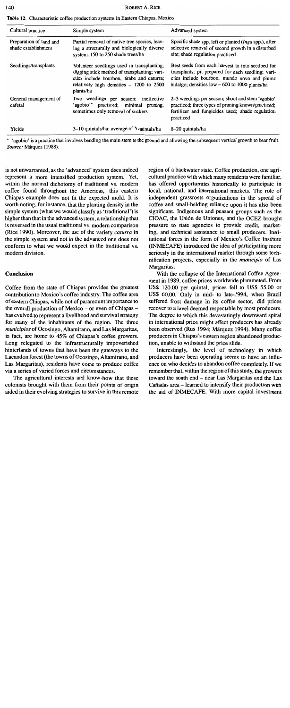| Table 12. Characteristic coffee production systems in Eastern Chiapas, Mexico |  |
|-------------------------------------------------------------------------------|--|
|-------------------------------------------------------------------------------|--|

| Cultural practice                              | Simple system                                                                                                                                                                                     | Advanced system                                                                                                                                                                                          |
|------------------------------------------------|---------------------------------------------------------------------------------------------------------------------------------------------------------------------------------------------------|----------------------------------------------------------------------------------------------------------------------------------------------------------------------------------------------------------|
| Preparation of land and<br>shade establishment | Partial removal of native tree species, leav-<br>ing a structurally and biologically diverse<br>system; 150 to 250 shade trees/ha                                                                 | Specific shade spp. left or planted ( <i>lnga</i> spp.), after<br>selective removal of second growth in a disturbed<br>site; shade regulation practiced                                                  |
| Seedlings/transplants                          | Volunteer seedlings used in transplanting.<br>digging stick method of transplanting; vari-<br>eties include bourbon, árabe and caturra;<br>relatively high densities $-1200$ to 2500<br>plants/ha | Best seeds from each harvest to into seedbed for<br>transplants; pit prepared for each seedling; vari-<br>eties include bourbon, mundo novo and pluma<br>hidalgo; densities low $-600$ to 1000 plants/ha |
| General management of<br>cafetal               | Two weedings per season; ineffective<br>'agobio' <sup>*</sup><br>practiced; minimal pruning,<br>sometimes only removal of suckers                                                                 | 2–3 weedings per season; shoot and stem 'agobio'<br>practiced; three types of pruning known/practiced;<br>fertilizer and fungicides used; shade regulation<br>practiced                                  |
| Yields                                         | 3–10 quintals/ha; average of 5 quintals/ha                                                                                                                                                        | 8–20 quintals/ha                                                                                                                                                                                         |

\* 'agobio' is a practice that involves bending the main stem to the ground and allowing the subsequent vertical growth to bear fruit. Source: Márquez (1988).

is not unwarranted, as the 'advanced' system does indeed represent a more intensified production system. Yet, within the normal dichotomy of traditional vs. modern coffee found throughout the Americas, this eastern Chiapas example does not fit the expected mold. It is worth noting, for instance, that the planting density in the simple system (what we would classify as 'traditional') is higher than that in the advanced system, a relationship that is reversed in the usual traditional vs. modern comparison (Rice 1990). Moreover, the use of the variety caturra in the simple system and not in the advanced one does not conform to what we would expect in the traditional vs. modern division.

### **Conclusion**

Coffee from the state of Chiapas provides the greatest contribution to Mexico's coffee industry. The coffee area of eastern Chiapas, while not of paramount importance to the overall production of Mexico – or even of Chiapas – has evolved to represent a livelihood and survival strategy for many of the inhabitants of the region. The three municipios of Ocosingo, Altamirano, and Las Margaritas, in fact, are home to 45% of Chiapas's coffee growers. Long relegated to the infrastructurally impoverished hinterlands of towns that have been the gateways to the Lacandon forest (the towns of Ocosingo, Altamirano, and Las Margaritas), residents have come to produce coffee via a series of varied forces and circumstances.

The agricultural interests and know-how that these colonists brought with them from their points of origin aided in their evolving strategies to survive in this remote

region of a backwater state. Coffee production, one agricultural practice with which many residents were familiar, has offered opportunities historically to participate in local, national, and international markets. The role of independent grassroots organizations in the spread of coffee and small-holding reliance upon it has also been significant. Indigenous and peasant groups such as the CIOAC, the Unión de Uniones, and the OCEZ brought pressure to state agencies to provide credit, marketing, and technical assistance to small producers. Institutional forces in the form of Mexico's Coffee Institute (INMECAFE) introduced the idea of participating more seriously in the international market through some technification projects, especially in the municipio of Las Margaritas.

With the collapse of the International Coffee Agreement in 1989, coffee prices worldwide plummeted. From US\$ 120.00 per quintal, prices fell to US\$ 55.00 or US\$ 60.00. Only in mid- to late-1994, when Brazil suffered frost damage in its coffee sector, did prices recover to a level deemed respectable by most producers. The degree to which this devastatingly downward spiral in international price might affect producers has already been observed (Rus 1994; Márquez 1994). Many coffee producers in Chiapas's eastern region abandoned production, unable to withstand the price slide.

Interestingly, the level of technology in which producers have been operating seems to have an influence on who decides to abandon coffee completely. If we remember that, within the region of this study, the growers toward the south end - near Las Margaritas and the Las Cañadas area - learned to intensify their production with the aid of INMECAFE. With more capital investment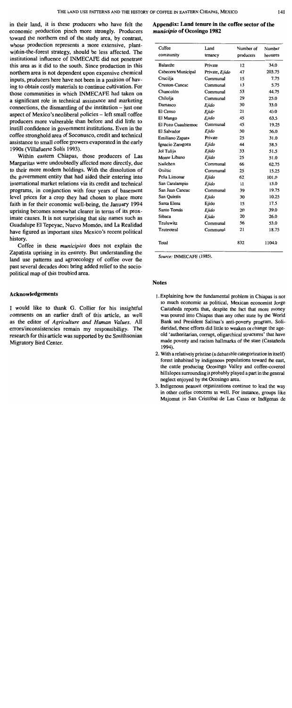in their land, it is these producers who have felt the economic production pinch more strongly. Producers toward the northern end of the study area, by contrast, whose production represents a more extensive, plantwithin-the-forest strategy, should be less affected. The institutional influence of INMECAFE did not penetrate this area as it did to the south. Since production in this northern area is not dependent upon expensive chemical inputs, producers here have not been in a position of having to obtain costly materials to continue cultivation. For those communities in which INMECAFE had taken on a significant role in technical assistance and marketing connections, the dismantling of the institution  $-$  just one aspect of Mexico's neoliberal policies - left small coffee producers more vulnerable than before and did little to instill confidence in government institutions. Even in the coffee stronghold area of Soconusco, credit and technical assistance to small coffee growers evaporated in the early 1990s (Villafuerte Solís 1993).

Within eastern Chiapas, those producers of Las Margaritas were undoubtedly affected more directly, due to their more modern holdings. With the dissolution of the government entity that had aided their entering into international market relations via its credit and technical programs, in conjunction with four years of basement level prices for a crop they had chosen to place more faith in for their economic well-being, the January 1994 uprising becomes somewhat clearer in terms of its proximate causes. It is not surprising that site names such as Guadalupe El Tepeyac, Nuevo Momón, and La Realidad have figured as important sites Mexico's recent political history.

Coffee in these municipios does not explain the Zapatista uprising in its entirety. But understanding the land use patterns and agroecology of coffee over the past several decades does bring added relief to the sociopolitical map of this troubled area.

#### **Acknowledgements**

I would like to thank G. Collier for his insightful comments on an earlier draft of this article, as well as the editor of Agriculture and Human Values. All errors/inconsistencies remain my responsibiligy. The research for this article was supported by the Smithsonian Migratory Bird Center.

Appendix: Land tenure in the coffee sector of the municipio of Ocosingo 1982

| Coffee             | Land           | Number of | Number   |
|--------------------|----------------|-----------|----------|
| community          | tenancy        | producers | hectares |
| <b>Balaxthe</b>    | Private        | 12        | 34.0     |
| Cabecera Municipal | Private, Ejido | 47        | 203.75   |
| Crucilja           | Communal       | 15        | 7.75     |
| Cruston-Cancuc     | Communal       | 13        | 5.75     |
| Chancolón          | Communal       | 53        | 44.75    |
| Chilolja           | Communal       | 29        | 25.0     |
| Damasco            | Ejido          | 30        | 33.0     |
| El Censo           | Ejido          | 21        | 43.0     |
| El Mango           | Ejido          | 45        | 63.5     |
| El Pozo Cuauhtemoc | Communal       | 45        | 19.25    |
| El Salvador        | Ejido          | 30        | 56.0     |
| Emiliano Zapata    | Private        | 25        | 31.0     |
| Ignacio Zaragoza   | Ejido          | 44        | 58.5     |
| Jol Tulija         | Ejido          | 33        | 51.5     |
| Monte Líbano       | Ejido          | 25        | 51.0     |
| Nailchen           | Communal       | 66        | 62.75    |
| Oniltic            | Communal       | 25        | 15.25    |
| Peña Limonar       | Ejido          | 62        | 101.0    |
| San Caralampio     | Ejido          | 11        | 13.0     |
| San Juan Cancuc    | Communal       | 39        | 19.75    |
| San Quintín        | Ejido          | 30        | 10.25    |
| Santa Elena        | Ejido          | 15        | 17.5     |
| Santo Tomás        | Ejido          | 20        | 39.0     |
| Sibaca             | Ejido          | 20        | 26.0     |
| <b>Tzuluwitz</b>   | Communal       | 56        | 53.0     |
| <b>Tzuteoteal</b>  | Communal       | 21        | 18.75    |
| Total              |                | 832       | 1104.0   |

Source: INMECAFE (1985).

#### **Notes**

- 1. Explaining how the fundamental problem in Chiapas is not so much economic as political, Mexican economist Jorge Castañeda reports that, despite the fact that more money was poured into Chiapas than any other state by the World Bank and President Salinas's anti-poverty program, Solidaridad, these efforts did little to weaken or change the ageold 'authoritarian, corrupt, oligarchical structures' that have made poverty and racism hallmarks of the state (Castañeda 1994).
- 2. With a relatively pristine (a debatable categorization in itself) forest inhabited by indigenous populations toward the east, the cattle producing Ocosingo Valley and coffee-covered hillslopes surrounding it probably played a part in the general neglect enjoyed by the Ocosingo area.
- 3. Indigenous peasant organizations continue to lead the way in other coffee concerns as well. For instance, groups like Majomut in San Cristóbal de Las Casas or Indígenas de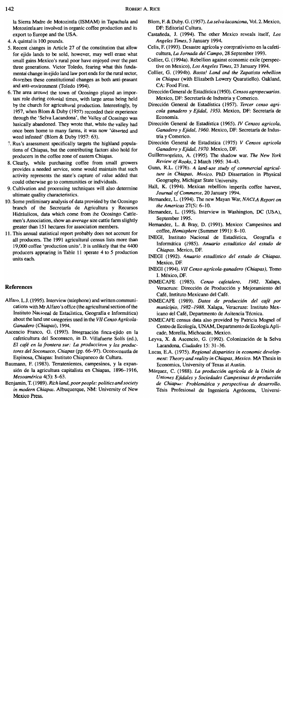la Sierra Madre de Motozintla (ISMAM) in Tapachula and Motozintla are involved in organic coffee production and its export to Europe and the USA.

- 4. A quintal is 100 pounds.
- 5. Recent changes in Article 27 of the constitution that allow for eiido lands to be sold, however, may well erase what small gains Mexico's rural poor have enjoyed over the past three generations. Victor Toledo, fearing what this fundamental change in ejido land law port ends for the rural sector, describes these constitutional changes as both anti-peasant and anti-environment (Toledo 1994).
- 6. The area around the town of Ocosingo played an important role during colonial times, with large areas being held by the church for agricultural production. Interestingly, by 1957, when Blom & Duby (1957) recorded their experience through the 'Selva Lacandona', the Valley of Ocosingo was basically abandoned. They wrote that, while the valley had once been home to many farms, it was now 'deserted and weed infested' (Blom & Duby 1957: 63).
- 7. Rus's assessment specifically targets the highland populations of Chiapas, but the contributing factors also hold for producers in the coffee zone of eastern Chiapas.
- 8. Clearly, while purchasing coffee from small growers provides a needed service, some would maintain that such activity represents the state's capture of value added that could otherwise go to communities or individuals.
- 9. Cultivation and processing techniques will also determine ultimate quality characteristics.
- 10. Some preliminary analysis of data provided by the Ocosingo branch of the Secretaría de Agricultura y Recursos Hidráulicos, data which come from the Ocosingo Cattlemen's Association, show an *average* size cattle farm slightly greater than 151 hectares for association members.
- 11. This annual statistical report probably does not account for all producers. The 1991 agricultural census lists more than 19,000 coffee 'production units'. It is unlikely that the 4400 producers appearing in Table 11 operate 4 to 5 production units each.

### **References**

- Alfaro, L.J. (1995). Interview (telephone) and written communications with Mr Alfaro's office (the agricultural section of the Instituto Nacional de Estadística, Geografía e Informática) about the land use categories used in the VII Censo Agrícola-Ganadero (Chiapas), 1994.
- Ascencio Franco, G. (1993). Integraación finca-ejido en la cafeticultura del Soconusco, in D. Villafuerte Solís (ed.), El café en la frontera sur: La produccieon y los productores del Soconusco, Chiapas (pp. 66-97). Ocozocoautla de Espinosa, Chiapas: Instituto Chiapaneco de Cultura.
- Baumann, F. (1983). Terratenientes, campesinos, y la expansión de la agricultura capitalista en Chiapas, 1896-1916, Mesoamérica 4(5): 8-63.
- Benjamin, T. (1989). Rich land, poor people: politics and society in modern Chiapas. Albuquerque, NM: University of New Mexico Press.
- Blom. F. & Duby. G. (1957). La selva lacandona, Vol. 2. Mexico, DF: Editorial Cultura.
- Castañeda, J. (1994). The other Mexico reveals itself, Los Angeles Times, 5 January 1994.
- Celis, F. (1993). Desastre agrícola y coroprativismo en la cafeticultura, La Jornada del Campo, 28 September 1993.
- Collier, G. (1994a). Rebellion against economic exile (perspective on Mexico), Los Angeles Times, 23 January 1994.
- Collier, G. (1994b). Basta! Land and the Zapatista rebellion in Chiapas (with Elizabeth Lowery Quaratiello). Oakland, CA: Food First.
- Dirección General de Estadística (1950). Censos agropecuarios. Mexico, DF: Secretaría de Industria y Comerico.
- Dirección General de Estadística (1957). Tercer censo agricola ganadero y Ejidal, 1950, Mexico, DF: Secretaría de Economía.
- Dirección General de Estadística (1965). IV Censos agricola. Ganadero y Ejidal, 1960. Mexico, DF: Secretaría de Industria y Comerico.
- Dirección General de Estadística (1975) V Censos agricola Ganadero y Ejidal, 1970. Mexico, DF.
- Guillermoprieto, A. (1995). The shadow war. The New York Review of Books, 2 March 1995: 34-43.
- Gunn, R.L. (1976). A land-use study of commercial agriculture in Chiapas, Mexico. PhD Dissertation in Physical Geography, Michigan State University.
- Hall, K. (1994). Mexican rebellion imperils coffee harvest, Journal of Commerce, 20 January 1994.
- Hernandez, L. (1994). The new Mayan War, NACLA Report on the Americas  $27(5)$ : 6-10.
- Hernandez, L. (1995). Interview in Washington, DC (USA), September 1995.
- Hernandez, L. & Bray, D. (1991). Mexico: Campesinos and coffee, Hemisphere (Summer 1991): 8-10.
- INEGI, Instituto Nacional de Estadística, Geografía e Informática (1985). Anuario estadístico del estado de Chiapas. Mexico, DF.
- INEGI (1992). Anuario estadístico del estado de Chiapas. Mexico, DF.
- INEGI (1994). VII Censo agrícola-ganadero (Chiapas), Tomo I. México, DF.
- INMECAFE (1985). Censo cafetalero, 1982. Xalapa, Veracruze: Dirección de Producción y Mejoramiento del Café, Instituto Mexicano del Café.
- INMECAFE (1989). Datos de producción del café por municipio, 1982-1988. Xalapa, Veracruze: Instituto Mexicano del Café, Departmento de Asitencia Técnica.
- INMECAFE census data also provided by Patricia Moguel of Centro de Ecología, UNAM, Departmento de Ecología Aplicado, Morelia, Michoacán, Mexico.
- Leyva, X. & Ascencio, G. (1992). Colonización de la Selva Lacandona, Ciudades 15: 31-36.
- Lucas, E.A. (1975). Regional disparities in economic development: Theory and reality in Chiapas, Mexico. MA Thesis in Economics, University of Texas at Austin.
- Márquez, C. (1988). La producción agrícola de la Unión de Uniones Ejidales y Sociedades Campesinas de producción de Chiapas: Problemática y perspectivas de desarrollo. Tésis Profesional de Ingeniería Agrónoma, Universi-